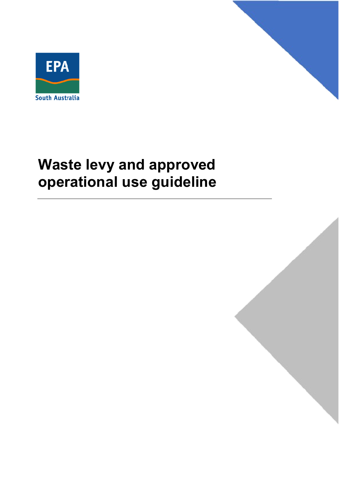



# **Waste levy and approved operational use guideline**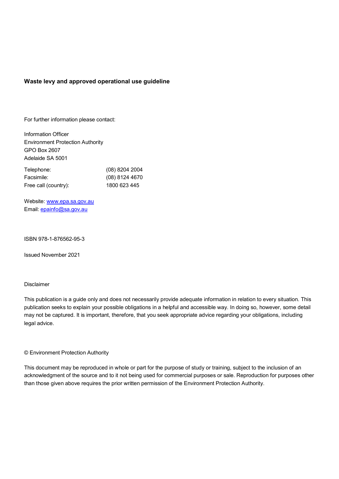#### **Waste levy and approved operational use guideline**

For further information please contact:

 Adelaide SA 5001 Information Officer Environment Protection Authority GPO Box 2607

| Telephone:           | (08) 8204 2004   |
|----------------------|------------------|
| Facsimile:           | $(08)$ 8124 4670 |
| Free call (country): | 1800 623 445     |

Website: www.epa.sa.gov.au Email: [epainfo@sa.gov.au](mailto:epainfo@sa.gov.au) 

ISBN 978-1-876562-95-3

ISBN 978-1-876562-95-3<br>Issued November 2021

#### Disclaimer

 This publication is a guide only and does not necessarily provide adequate information in relation to every situation. This publication seeks to explain your possible obligations in a helpful and accessible way. In doing so, however, some detail may not be captured. It is important, therefore, that you seek appropriate advice regarding your obligations, including legal advice.

© Environment Protection Authority

 acknowledgment of the source and to it not being used for commercial purposes or sale. Reproduction for purposes other This document may be reproduced in whole or part for the purpose of study or training, subject to the inclusion of an than those given above requires the prior written permission of the Environment Protection Authority.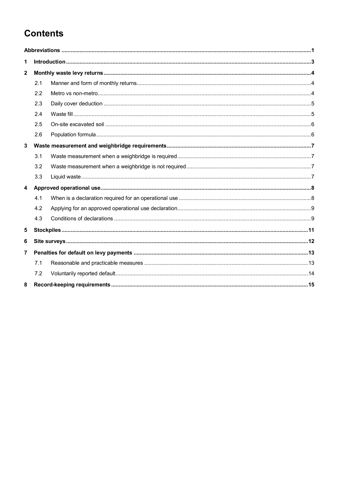## **Contents**

| 1                       |     |  |  |
|-------------------------|-----|--|--|
| $\mathbf{2}$            |     |  |  |
|                         | 2.1 |  |  |
|                         | 2.2 |  |  |
|                         | 2.3 |  |  |
|                         | 2.4 |  |  |
|                         | 2.5 |  |  |
|                         | 2.6 |  |  |
| $\mathbf{3}$            |     |  |  |
|                         | 3.1 |  |  |
|                         | 3.2 |  |  |
|                         | 3.3 |  |  |
| $\overline{\mathbf{4}}$ |     |  |  |
|                         | 4.1 |  |  |
|                         | 4.2 |  |  |
|                         | 4.3 |  |  |
| 5                       |     |  |  |
| 6                       |     |  |  |
| $\overline{7}$          |     |  |  |
|                         | 7.1 |  |  |
|                         | 7.2 |  |  |
| 8                       |     |  |  |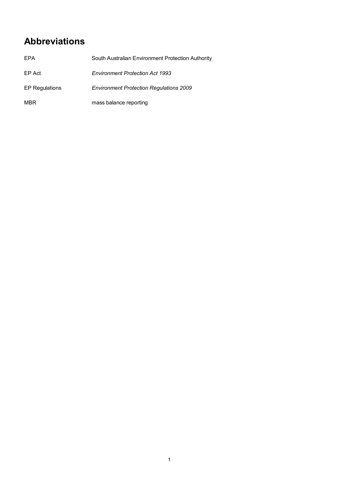## <span id="page-4-0"></span>**Abbreviations**

| EPA                   | South Australian Environment Protection Authority |
|-----------------------|---------------------------------------------------|
| EP Act                | <b>Environment Protection Act 1993</b>            |
| <b>EP Regulations</b> | <b>Environment Protection Regulations 2009</b>    |
| <b>MBR</b>            | mass balance reporting                            |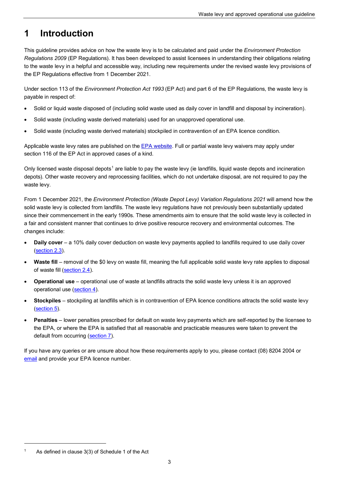#### <span id="page-6-0"></span>**1 Introduction**

 *Regulations 2009* (EP Regulations). It has been developed to assist licensees in understanding their obligations relating This guideline provides advice on how the waste levy is to be calculated and paid under the *Environment Protection*  to the waste levy in a helpful and accessible way, including new requirements under the revised waste levy provisions of the EP Regulations effective from 1 December 2021.

 Under section 113 of the *Environment Protection Act 1993* (EP Act) and part 6 of the EP Regulations, the waste levy is payable in respect of:

- Solid or liquid waste disposed of (including solid waste used as daily cover in landfill and disposal by incineration).
- Solid waste (including waste derived materials) used for an unapproved operational use.
- Solid waste (including waste derived materials) stockpiled in contravention of an EPA licence condition.

Applicable waste levy rates are published on the <u>EPA website</u>. Full or partial waste levy waivers may apply under section 116 of the EP Act in approved cases of a kind.

Only licensed waste disposal depots<sup>[1](#page-6-1)</sup> are liable to pay the waste levy (ie landfills, liquid waste depots and incineration waste levy. depots). Other waste recovery and reprocessing facilities, which do not undertake disposal, are not required to pay the

 From 1 December 2021, the *Environment Protection (Waste Depot Levy) Variation Regulations 2021* will amend how the solid waste levy is collected from landfills. The waste levy regulations have not previously been substantially updated since their commencement in the early 1990s. These amendments aim to ensure that the solid waste levy is collected in a fair and consistent manner that continues to drive positive resource recovery and environmental outcomes. The changes include:

- • **Daily cover**  a 10% daily cover deduction on waste levy payments applied to landfills required to use daily cover [\(section 2.3\)](#page-8-0).
- Waste fill removal of the \$0 levy on waste fill, meaning the full applicable solid waste levy rate applies to disposal of waste fill [\(section 2.4\)](#page-8-1).
- • **Operational use**  operational use of waste at landfills attracts the solid waste levy unless it is an approved operational use (<u>section 4</u>).
- • **Stockpiles**  stockpiling at landfills which is in contravention of EPA licence conditions attracts the solid waste levy [\(section 5\)](#page-14-0).
- • **Penalties**  lower penalties prescribed for default on waste levy payments which are self-reported by the licensee to default from occurring (<u>section 7</u>). the EPA, or where the EPA is satisfied that all reasonable and practicable measures were taken to prevent the

If you have any queries or are unsure about how these requirements apply to you, please contact (08) 8204 2004 or [email a](mailto:epawastelevy@sa.gov.au)nd provide your EPA licence number.

 $\overline{a}$ 

<span id="page-6-1"></span> 1 As defined in clause 3(3) of Schedule 1 of the Act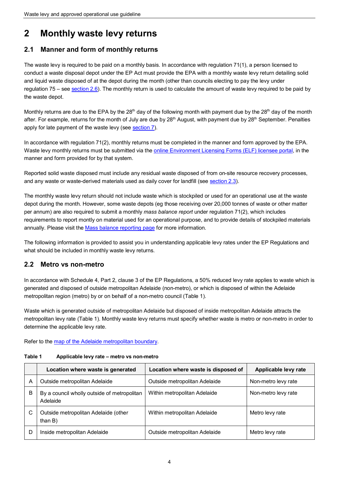## <span id="page-7-0"></span>**2 Monthly waste levy returns**

### <span id="page-7-1"></span>**2.1 Manner and form of monthly returns**

and liquid waste disposed of at the depot during the month (other than councils electing to pay the levy under and liquid waste di[sposed of at](#page-9-1) the depot during the month (other than councils electing to pay the levy under<br>regulation 75 – see <u>section 2.6</u>). The monthly return is used to calculate the amount of waste levy required t The waste levy is required to be paid on a monthly basis. In accordance with regulation 71(1), a person licensed to conduct a waste disposal depot under the EP Act must provide the EPA with a monthly waste levy return detailing solid the waste depot.

after. For example, returns for the month of July are due by 28<sup>th</sup> August, with payment due by 28<sup>th</sup> September. Penalties Monthly returns are due to the EPA by the 28<sup>th</sup> day of the following month with payment due by the 28<sup>th</sup> day of the month apply for late payment of the waste levy (see [section 7\)](#page-16-0).

In accordance with regulation 71(2), monthly returns must be completed in the manner and form approved by the EPA. Waste levy monthly returns must be submitted via the [online Environment Licensing Forms \(ELF\) licensee portal,](https://www.elf.sa.gov.au/) in the manner and form provided for by that system.

Reported solid waste disposed must include any residual waste disposed of from on-site resource recovery processes, and any waste or waste-derived materials used as daily cover for landfill (see [section 2.3\)](#page-8-0).

 requirements to report montly on material used for an operational purpose, and to provide details of stockpiled materials The monthly waste levy return should not include waste which is stockpiled or used for an operational use at the waste depot during the month. However, some waste depots (eg those receiving over 20,000 tonnes of waste or other matter per annum) are also required to submit a monthly *mass balance report* under regulation 71(2), which includes annually. Please visit the [Mass balance reporting page f](https://www.epa.sa.gov.au/environmental_info/waste_recycling/mass-balance-reporting)or more information.

 The following information is provided to assist you in understanding applicable levy rates under the EP Regulations and what should be included in monthly waste levy returns.

#### <span id="page-7-2"></span>**2.2 Metro vs non-metro**

 In accordance with Schedule 4, Part 2, clause 3 of the EP Regulations, a 50% reduced levy rate applies to waste which is metropolitan region (metro) by or on behalf of a non-metro council (Table 1). generated and disposed of outside metropolitan Adelaide (non-metro), or which is disposed of within the Adelaide

 metropolitan levy rate (Table 1). Monthly waste levy returns must specify whether waste is metro or non-metro in order to Waste which is generated outside of metropolitan Adelaide but disposed of inside metropolitan Adelaide attracts the determine the applicable levy rate.

Refer to the [map of the Adelaide metropolitan boundary.](http://location.sa.gov.au/viewer/?%20map=hybrid&x=138.61448&y=-34.96052%20&z=10&uids=195&pinx=%20&piny=&pinTitle=%20&pinText=) 

| Table 1 | Applicable levy rate – metro vs non-metro |
|---------|-------------------------------------------|
|---------|-------------------------------------------|

|   | Location where waste is generated                       | Location where waste is disposed of | Applicable levy rate |
|---|---------------------------------------------------------|-------------------------------------|----------------------|
| Α | Outside metropolitan Adelaide                           | Outside metropolitan Adelaide       | Non-metro levy rate  |
| В | By a council wholly outside of metropolitan<br>Adelaide | Within metropolitan Adelaide        | Non-metro levy rate  |
| С | Outside metropolitan Adelaide (other<br>than $B$ )      | Within metropolitan Adelaide        | Metro levy rate      |
| D | Inside metropolitan Adelaide                            | Outside metropolitan Adelaide       | Metro levy rate      |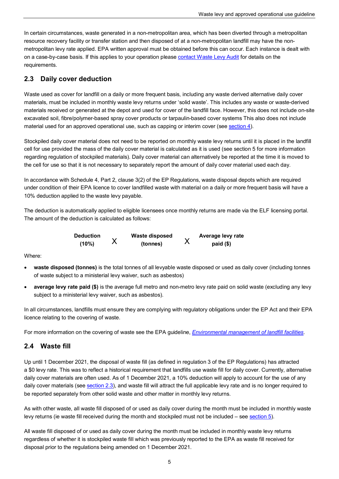In certain circumstances, waste generated in a non-metropolitan area, which has been diverted through a metropolitan resource recovery facility or transfer station and then disposed of at a non-metropolitan landfill may have the nonmetropolitan levy rate applied. EPA written approval must be obtained before this can occur. Each instance is dealt with on a case-by-case basis. If this applies to your operation please [contact Waste Levy Audit](mailto:epawastelevy@sa.gov.au) for details on the requirements.

### <span id="page-8-0"></span>**2.3 Daily cover deduction**

Waste used as cover for landfill on a daily or more frequent basis, including any waste derived alternative daily cover materials, must be included in monthly waste levy returns under 'solid waste'. This includes any waste or waste-derived materials received or generated at the depot and used for cover of the landfill face. However, this does not include on-site excavated soil, fibre/polymer-based spray cover products or tarpaulin-based cover systems This also does not include material used for an approved operational use, such as capping or interim cover (see <u>section 4</u>).

Stockpiled daily cover material does not need to be reported on monthly waste levy returns until it is placed in the landfill cell for use provided the mass of the daily cover material is calculated as it is used (see section 5 for more information regarding regulation of stockpiled materials). Daily cover material can alternatively be reported at the time it is moved to the cell for use so that it is not necessary to separately report the amount of daily cover material used each day.

In accordance with Schedule 4, Part 2, clause 3(2) of the EP Regulations, waste disposal depots which are required under condition of their EPA licence to cover landfilled waste with material on a daily or more frequent basis will have a 10% deduction applied to the waste levy payable.

The deduction is automatically applied to eligible licensees once monthly returns are made via the ELF licensing portal. The amount of the deduction is calculated as follows:

| Deduction | Waste disposed | Average levy rate |
|-----------|----------------|-------------------|
| (10%)     | (tonnes)       | $paid(\$)$        |

Where:

- • **waste disposed (tonnes)** is the total tonnes of all levyable waste disposed or used as daily cover (including tonnes of waste subject to a ministerial levy waiver, such as asbestos)
- **average levy rate paid (\$)** is the average full metro and non-metro levy rate paid on solid waste (excluding any levy subject to a ministerial levy waiver, such as asbestos).

In all circumstances, landfills must ensure they are complying with regulatory obligations under the EP Act and their EPA licence relating to the covering of waste.

<span id="page-8-1"></span>For more information on the covering of waste see the EPA guideline, *[Environmental management of landfill facilities](https://www.epa.sa.gov.au/files/4771343_guide_landfill.pdf)*.

### **2.4 Waste fill**

Up until 1 December 2021, the disposal of waste fill (as defined in regulation 3 of the EP Regulations) has attracted Up until 1 December 2021, the disposal of waste fill (as defined in regulation 3 of the EP Regulations) has attracted<br>a \$0 levy rate. This was to reflect a historical requirement that landfills use waste fill for daily cov daily cover materials are often used. As of 1 December 2021, a 10% deduction will apply to account for the use of any daily cover materials (see <u>section 2.3</u>), and waste fill will attract the full applicable levy rate and is no longer required to be reported separately from other solid waste and other matter in monthly levy returns.

levy returns (ie waste fill received during the month and stockpiled must not be included – see <u>section 5</u>). As with other waste, all waste fill disposed of or used as daily cover during the month must be included in monthly waste

 regardless of whether it is stockpiled waste fill which was previously reported to the EPA as waste fill received for All waste fill disposed of or used as daily cover during the month must be included in monthly waste levy returns disposal prior to the regulations being amended on 1 December 2021.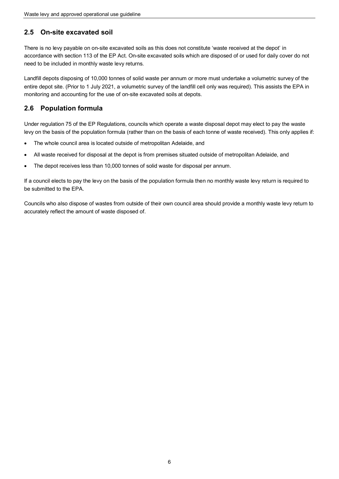### <span id="page-9-0"></span>**2.5 On-site excavated soil**

 There is no levy payable on on-site excavated soils as this does not constitute 'waste received at the depot' in accordance with section 113 of the EP Act. On-site excavated soils which are disposed of or used for daily cover do not need to be included in monthly waste levy returns.

 monitoring and accounting for the use of on-site excavated soils at depots. Landfill depots disposing of 10,000 tonnes of solid waste per annum or more must undertake a volumetric survey of the entire depot site. (Prior to 1 July 2021, a volumetric survey of the landfill cell only was required). This assists the EPA in

## <span id="page-9-1"></span>**2.6 Population formula**

 levy on the basis of the population formula (rather than on the basis of each tonne of waste received). This only applies if: Under regulation 75 of the EP Regulations, councils which operate a waste disposal depot may elect to pay the waste

- The whole council area is located outside of metropolitan Adelaide, and
- All waste received for disposal at the depot is from premises situated outside of metropolitan Adelaide, and
- The depot receives less than 10,000 tonnes of solid waste for disposal per annum.

 be submitted to the EPA. If a council elects to pay the levy on the basis of the population formula then no monthly waste levy return is required to

Councils who also dispose of wastes from outside of their own council area should provide a monthly waste levy return to accurately reflect the amount of waste disposed of.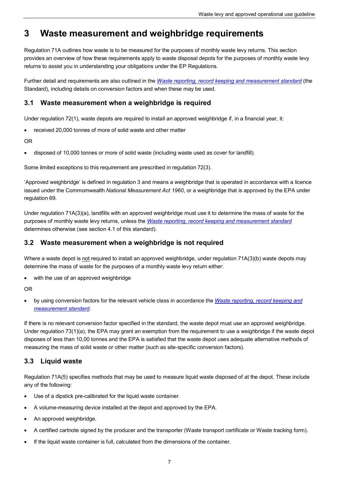## <span id="page-10-0"></span>**3 Waste measurement and weighbridge requirements**

Regulation 71A outlines how waste is to be measured for the purposes of monthly waste levy returns. This section provides an overview of how these requirements apply to waste disposal depots for the purposes of monthly waste levy returns to assist you in understanding your obligations under the EP Regulations.

Further detail and requirements are also outlined in the *[Waste reporting, record keeping and measurement standard](https://www.epa.sa.gov.au/files/14819_mass_balance_reporting_standard.pdf)* (the Standard), including details on conversion factors and when these may be used.

#### <span id="page-10-1"></span>**3.1 Waste measurement when a weighbridge is required**

Under regulation 72(1), waste depots are required to install an approved weighbridge if, in a financial year, it:

• received 20,000 tonnes of more of solid waste and other matter

OR

• disposed of 10,000 tonnes or more of solid waste (including waste used as cover for landfill).

Some limited exceptions to this requirement are prescribed in regulation 72(3).

'Approved weighbridge' is defined in regulation 3 and means a weighbridge that is operated in accordance with a licence issued under the Commomwealth *National Measurement Act 1960*, or a weighbridge that is approved by the EPA under regulation 69.

 Under regulation 71A(3)(a), landfills with an approved weighbridge must use it to determine the mass of waste for the purposes of monthly waste levy returns, unless the *[Waste reporting, record keeping and measurement standard](https://www.epa.sa.gov.au/files/14819_mass_balance_reporting_standard.pdf)*  determines otherwise (see section 4.1 of this standard).

#### <span id="page-10-2"></span>**3.2 Waste measurement when a weighbridge is not required**

Where a waste depot is not required to install an approved weighbridge, under regulation 71A(3)(b) waste depots may determine the mass of waste for the purposes of a monthly waste levy return either:

• with the use of an approved weighbridge

OR

• by using conversion factors for the relevant vehicle class in accordance the *[Waste reporting, record keeping and](https://www.epa.sa.gov.au/files/14819_mass_balance_reporting_standard.pdf) [measurement standard](https://www.epa.sa.gov.au/files/14819_mass_balance_reporting_standard.pdf)*.

If there is no relevant conversion factor specified in the standard, the waste depot must use an approved weighbridge. Under regulation 73(1)(a), the EPA may grant an exemption from the requirement to use a weighbridge if the waste depot disposes of less than 10,00 tonnes and the EPA is satisfied that the waste depot uses adequate alternative methods of measuring the mass of solid waste or other matter (such as site-specific conversion factors).

#### <span id="page-10-3"></span>**3.3 Liquid waste**

 Regulation 71A(5) specifies methods that may be used to measure liquid waste disposed of at the depot. These include any of the following:

- Use of a dipstick pre-calibrated for the liquid waste container.
- A volume-measuring device installed at the depot and approved by the EPA.
- An approved weighbridge*.*
- A certified cartnote signed by the producer and the transporter (Waste transport certificate or Waste tracking form).
- If the liquid waste container is full, calculated from the dimensions of the container.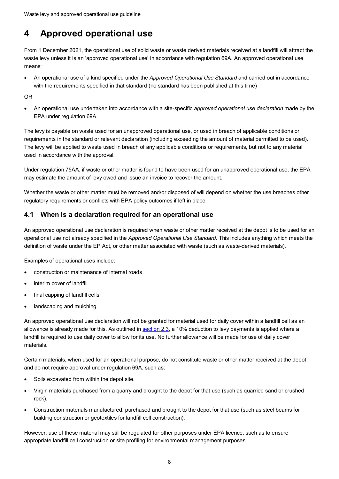## <span id="page-11-0"></span>**4 Approved operational use**

 From 1 December 2021, the operational use of solid waste or waste derived materials received at a landfill will attract the waste levy unless it is an 'approved operational use' in accordance with regulation 69A. An approved operational use means:

• An operational use of a kind specified under the *Approved Operational Use Standard* and carried out in accordance with the requirements specified in that standard (no standard has been published at this time)

OR

• An operational use undertaken into accordance with a site-specific *approved operational use declaration* made by the EPA under regulation 69A.

 The levy is payable on waste used for an unapproved operational use, or used in breach of applicable conditions or requirements in the standard or relevant declaration (including exceeding the amount of material permitted to be used). The levy will be applied to waste used in breach of any applicable conditions or requirements, but not to any material used in accordance with the approval.

 Under regulation 75AA, if waste or other matter is found to have been used for an unapproved operational use, the EPA may estimate the amount of levy owed and issue an invoice to recover the amount.

Whether the waste or other matter must be removed and/or disposed of will depend on whether the use breaches other regulatory requirements or conflicts with EPA policy outcomes if left in place.

### <span id="page-11-1"></span>**4.1 When is a declaration required for an operational use**

An approved operational use declaration is required when waste or other matter received at the depot is to be used for an operational use not already specified in the *Approved Operational Use Standard*. This includes anything which meets the definition of waste under the EP Act, or other matter associated with waste (such as waste-derived materials).

Examples of operational uses include:

- construction or maintenance of internal roads
- interim cover of landfill
- final capping of landfill cells
- landscaping and mulching.

 An approved operational use declaration will not be granted for material used for daily cover within a landfill cell as an allowance is already made for this. As outlined in [section 2.3,](#page-8-0) a 10% deduction to levy payments is applied where a landfill is required to use daily cover to allow for its use. No further allowance will be made for use of daily cover materials.

Certain materials, when used for an operational purpose, do not constitute waste or other matter received at the depot and do not require approval under regulation 69A, such as:

- Soils excavated from within the depot site.
- Virgin materials purchased from a quarry and brought to the depot for that use (such as quarried sand or crushed rock).
- Construction materials manufactured, purchased and brought to the depot for that use (such as steel beams for building construction or geotextiles for landfill cell construction).

However, use of these material may still be regulated for other purposes under EPA licence, such as to ensure appropriate landfill cell construction or site profiling for environmental management purposes.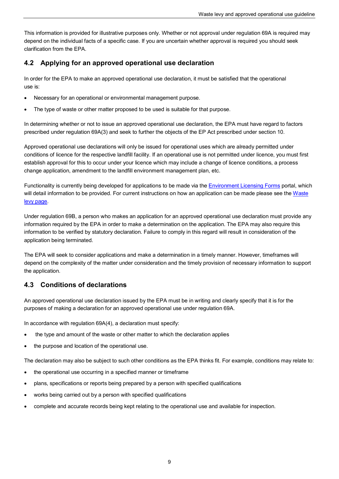This information is provided for illustrative purposes only. Whether or not approval under regulation 69A is required may depend on the individual facts of a specific case. If you are uncertain whether approval is required you should seek clarification from the EPA.

### <span id="page-12-0"></span>**4.2 Applying for an approved operational use declaration**

In order for the EPA to make an approved operational use declaration, it must be satisfied that the operational use is:

- Necessary for an operational or environmental management purpose.
- The type of waste or other matter proposed to be used is suitable for that purpose.

 In determining whether or not to issue an approved operational use declaration, the EPA must have regard to factors prescribed under regulation 69A(3) and seek to further the objects of the EP Act prescribed under section 10.

 conditions of licence for the respective landfill facility. If an operational use is not permitted under licence, you must first establish approval for this to occur under your licence which may include a change of licence conditions, a process change application, amendment to the landfill environment management plan, etc. Approved operational use declarations will only be issued for operational uses which are already permitted under

Functionality is currently being developed for applications to be made via the [Environment Licensing Forms p](https://www.elf.sa.gov.au/Public/Content/LaunchPage.aspx)ortal, which will detail information to be provided. For current instructions on how an application can be made please see the Waste [levy page.](https://www.epa.sa.gov.au/business_and_industry/waste-levy)

application being terminated. Under regulation 69B, a person who makes an application for an approved operational use declaration must provide any information required by the EPA in order to make a determination on the application. The EPA may also require this information to be verified by statutory declaration. Failure to comply in this regard will result in consideration of the

The EPA will seek to consider applications and make a determination in a timely manner. However, timeframes will depend on the complexity of the matter under consideration and the timely provision of necessary information to support the application.

## <span id="page-12-1"></span>**4.3 Conditions of declarations**

 An approved operational use declaration issued by the EPA must be in writing and clearly specify that it is for the purposes of making a declaration for an approved operational use under regulation 69A.

In accordance with regulation 69A(4), a declaration must specify:

- the type and amount of the waste or other matter to which the declaration applies
- the purpose and location of the operational use.

The declaration may also be subject to such other conditions as the EPA thinks fit. For example, conditions may relate to:

- the operational use occurring in a specified manner or timeframe
- plans, specifications or reports being prepared by a person with specified qualifications
- works being carried out by a person with specified qualifications
- complete and accurate records being kept relating to the operational use and available for inspection.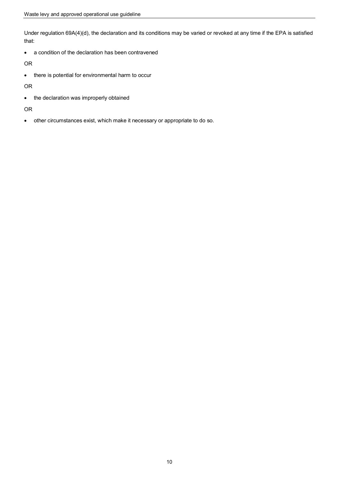Under regulation 69A(4)(d), the declaration and its conditions may be varied or revoked at any time if the EPA is satisfied that:

• a condition of the declaration has been contravened

OR

• there is potential for environmental harm to occur

OR

• the declaration was improperly obtained

#### OR

• other circumstances exist, which make it necessary or appropriate to do so.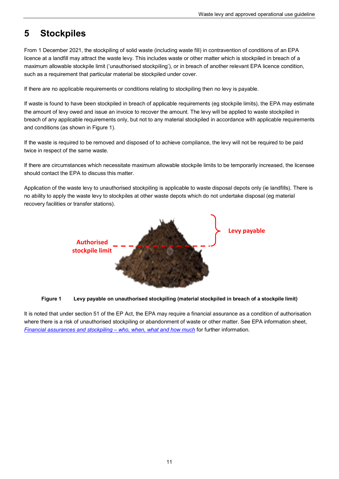#### <span id="page-14-0"></span>**5 Stockpiles**

 licence at a landfill may attract the waste levy. This includes waste or other matter which is stockpiled in breach of a From 1 December 2021, the stockpiling of solid waste (including waste fill) in contravention of conditions of an EPA maximum allowable stockpile limit ('unauthorised stockpiling'), or in breach of another relevant EPA licence condition, such as a requirement that particular material be stockpiled under cover.

If there are no applicable requirements or conditions relating to stockpiling then no levy is payable.

If waste is found to have been stockpiled in breach of applicable requirements (eg stockpile limits), the EPA may estimate the amount of levy owed and issue an invoice to recover the amount. The levy will be applied to waste stockpiled in breach of any applicable requirements only, but not to any material stockpiled in accordance with applicable requirements and conditions (as shown in Figure 1).

If the waste is required to be removed and disposed of to achieve compliance, the levy will not be required to be paid twice in respect of the same waste.

If there are circumstances which necessitate maximum allowable stockpile limits to be temporarily increased, the licensee should contact the EPA to discuss this matter.

 Application of the waste levy to unauthorised stockpiling is applicable to waste disposal depots only (ie landfills). There is no ability to apply the waste levy to stockpiles at other waste depots which do not undertake disposal (eg material recovery facilities or transfer stations).





 It is noted that under section 51 of the EP Act, the EPA may require a financial assurance as a condition of authorisation where there is a risk of unauthorised stockpiling or abandonment of waste or other matter. See EPA information sheet, *[Financial assurances and stockpiling – who, when, what and how much](https://www.epa.sa.gov.au/files/14337_info_financial_assurances_stockpile.pdf)* for further information.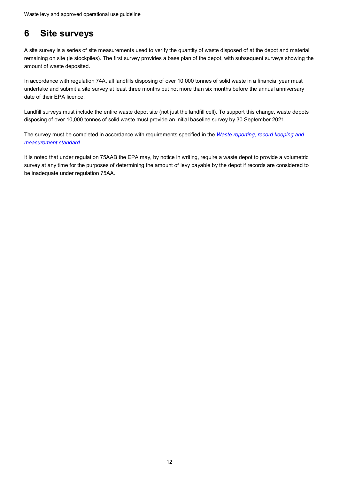#### <span id="page-15-0"></span>**6 Site surveys**

A site survey is a series of site measurements used to verify the quantity of waste disposed of at the depot and material remaining on site (ie stockpiles). The first survey provides a base plan of the depot, with subsequent surveys showing the amount of waste deposited.

In accordance with regulation 74A, all landfills disposing of over 10,000 tonnes of solid waste in a financial year must undertake and submit a site survey at least three months but not more than six months before the annual anniversary date of their EPA licence.

Landfill surveys must include the entire waste depot site (not just the landfill cell). To support this change, waste depots disposing of over 10,000 tonnes of solid waste must provide an initial baseline survey by 30 September 2021.

measurement standard. The survey must be completed in accordance with requirements specified in the *[Waste reporting, record keeping and](https://www.epa.sa.gov.au/files/14819_mass_balance_reporting_standard.pdf)* 

<u>meas*urement standard*[.](https://www.epa.sa.gov.au/files/14819_mass_balance_reporting_standard.pdf)</u><br>It is noted that under regulation 75AAB the EPA may, by notice in writing, require a waste depot to provide a volumetric survey at any time for the purposes of determining the amount of levy payable by the depot if records are considered to be inadequate under regulation 75AA.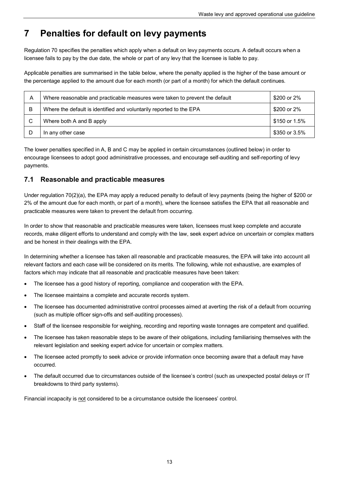#### <span id="page-16-0"></span>**7 Penalties for default on levy payments**

licensee fails to pay by the due date, the whole or part of any levy that the licensee is liable to pay. Regulation 70 specifies the penalties which apply when a default on levy payments occurs. A default occurs when a

licensee fails to pay by the due date, the whole or part of any levy that the licensee is liable to pay.<br>Applicable penalties are summarised in the table below, where the penalty applied is the higher of the base amount or the percentage applied to the amount due for each month (or part of a month) for which the default continues.

| A | Where reasonable and practicable measures were taken to prevent the default | \$200 or 2%   |
|---|-----------------------------------------------------------------------------|---------------|
| B | Where the default is identified and voluntarily reported to the EPA         | \$200 or 2%   |
|   | Where both A and B apply                                                    | \$150 or 1.5% |
|   | In any other case                                                           | \$350 or 3.5% |

The lower penalties specified in A, B and C may be applied in certain circumstances (outlined below) in order to encourage licensees to adopt good administrative processes, and encourage self-auditing and self-reporting of levy payments.

#### <span id="page-16-1"></span>**7.1 Reasonable and practicable measures**

Under regulation 70(2)(a), the EPA may apply a reduced penalty to default of levy payments (being the higher of \$200 or 2% of the amount due for each month, or part of a month), where the licensee satisfies the EPA that all reasonable and practicable measures were taken to prevent the default from occurring.

In order to show that reasonable and practicable measures were taken, licensees must keep complete and accurate records, make diligent efforts to understand and comply with the law, seek expert advice on uncertain or complex matters and be honest in their dealings with the EPA.

In determining whether a licensee has taken all reasonable and practicable measures, the EPA will take into account all relevant factors and each case will be considered on its merits. The following, while not exhaustive, are examples of factors which may indicate that all reasonable and practicable measures have been taken:

- The licensee has a good history of reporting, compliance and cooperation with the EPA.
- The licensee maintains a complete and accurate records system.
- The licensee has documented administrative control processes aimed at averting the risk of a default from occurring (such as multiple officer sign-offs and self-auditing processes).
- Staff of the licensee responsible for weighing, recording and reporting waste tonnages are competent and qualified.
- The licensee has taken reasonable steps to be aware of their obligations, including familiarising themselves with the relevant legislation and seeking expert advice for uncertain or complex matters.
- • The licensee acted promptly to seek advice or provide information once becoming aware that a default may have occurred.
- • The default occurred due to circumstances outside of the licensee's control (such as unexpected postal delays or IT breakdowns to third party systems).

Financial incapacity is <u>not</u> considered to be a circumstance outside the licensees' control.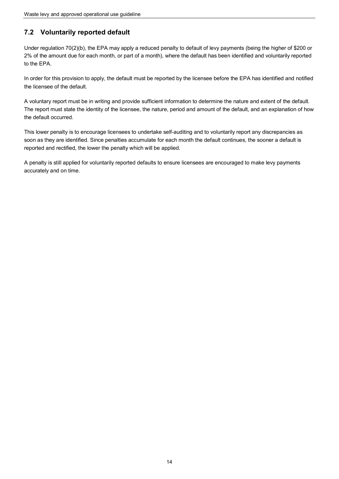## <span id="page-17-0"></span>**7.2 Voluntarily reported default**

 2% of the amount due for each month, or part of a month), where the default has been identified and voluntarily reported Under regulation 70(2)(b), the EPA may apply a reduced penalty to default of levy payments (being the higher of \$200 or to the EPA.

In order for this provision to apply, the default must be reported by the licensee before the EPA has identified and notified the licensee of the default.

A voluntary report must be in writing and provide sufficient information to determine the nature and extent of the default. The report must state the identity of the licensee, the nature, period and amount of the default, and an explanation of how the default occurred.

 soon as they are identified. Since penalties accumulate for each month the default continues, the sooner a default is This lower penalty is to encourage licensees to undertake self-auditing and to voluntarily report any discrepancies as reported and rectified, the lower the penalty which will be applied.

A penalty is still applied for voluntarily reported defaults to ensure licensees are encouraged to make levy payments accurately and on time.